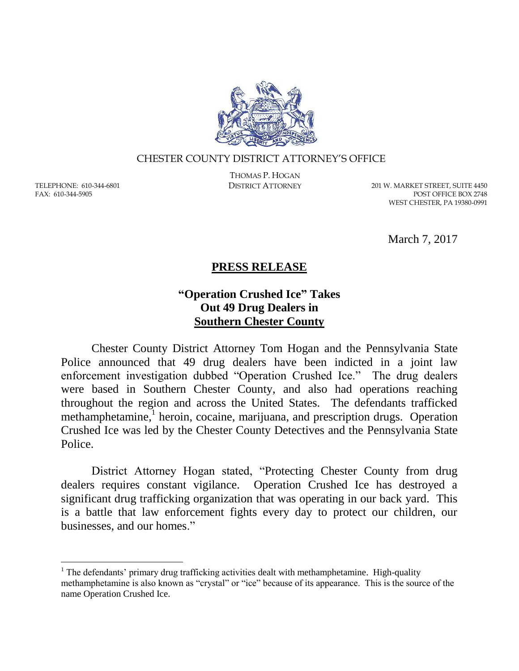

## CHESTER COUNTY DISTRICT ATTORNEY'S OFFICE

TELEPHONE: 610-344-6801 FAX: 610-344-5905

 $\overline{a}$ 

THOMAS P. HOGAN

DISTRICT ATTORNEY 201 W. MARKET STREET, SUITE 4450 POST OFFICE BOX 2748 WEST CHESTER, PA 19380-0991

March 7, 2017

## **PRESS RELEASE**

## **"Operation Crushed Ice" Takes Out 49 Drug Dealers in Southern Chester County**

Chester County District Attorney Tom Hogan and the Pennsylvania State Police announced that 49 drug dealers have been indicted in a joint law enforcement investigation dubbed "Operation Crushed Ice." The drug dealers were based in Southern Chester County, and also had operations reaching throughout the region and across the United States. The defendants trafficked methamphetamine,<sup>1</sup> heroin, cocaine, marijuana, and prescription drugs. Operation Crushed Ice was led by the Chester County Detectives and the Pennsylvania State Police.

District Attorney Hogan stated, "Protecting Chester County from drug dealers requires constant vigilance. Operation Crushed Ice has destroyed a significant drug trafficking organization that was operating in our back yard. This is a battle that law enforcement fights every day to protect our children, our businesses, and our homes."

<sup>&</sup>lt;sup>1</sup> The defendants' primary drug trafficking activities dealt with methamphetamine. High-quality methamphetamine is also known as "crystal" or "ice" because of its appearance. This is the source of the name Operation Crushed Ice.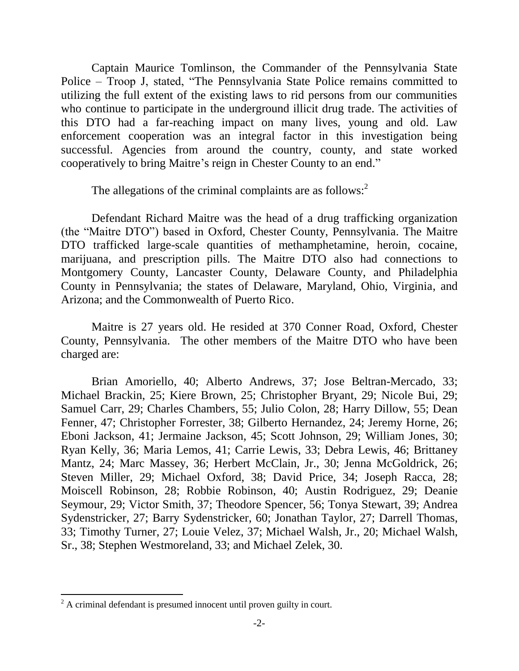Captain Maurice Tomlinson, the Commander of the Pennsylvania State Police – Troop J, stated, "The Pennsylvania State Police remains committed to utilizing the full extent of the existing laws to rid persons from our communities who continue to participate in the underground illicit drug trade. The activities of this DTO had a far-reaching impact on many lives, young and old. Law enforcement cooperation was an integral factor in this investigation being successful. Agencies from around the country, county, and state worked cooperatively to bring Maitre's reign in Chester County to an end."

The allegations of the criminal complaints are as follows:<sup>2</sup>

Defendant Richard Maitre was the head of a drug trafficking organization (the "Maitre DTO") based in Oxford, Chester County, Pennsylvania. The Maitre DTO trafficked large-scale quantities of methamphetamine, heroin, cocaine, marijuana, and prescription pills. The Maitre DTO also had connections to Montgomery County, Lancaster County, Delaware County, and Philadelphia County in Pennsylvania; the states of Delaware, Maryland, Ohio, Virginia, and Arizona; and the Commonwealth of Puerto Rico.

Maitre is 27 years old. He resided at 370 Conner Road, Oxford, Chester County, Pennsylvania. The other members of the Maitre DTO who have been charged are:

Brian Amoriello, 40; Alberto Andrews, 37; Jose Beltran-Mercado, 33; Michael Brackin, 25; Kiere Brown, 25; Christopher Bryant, 29; Nicole Bui, 29; Samuel Carr, 29; Charles Chambers, 55; Julio Colon, 28; Harry Dillow, 55; Dean Fenner, 47; Christopher Forrester, 38; Gilberto Hernandez, 24; Jeremy Horne, 26; Eboni Jackson, 41; Jermaine Jackson, 45; Scott Johnson, 29; William Jones, 30; Ryan Kelly, 36; Maria Lemos, 41; Carrie Lewis, 33; Debra Lewis, 46; Brittaney Mantz, 24; Marc Massey, 36; Herbert McClain, Jr., 30; Jenna McGoldrick, 26; Steven Miller, 29; Michael Oxford, 38; David Price, 34; Joseph Racca, 28; Moiscell Robinson, 28; Robbie Robinson, 40; Austin Rodriguez, 29; Deanie Seymour, 29; Victor Smith, 37; Theodore Spencer, 56; Tonya Stewart, 39; Andrea Sydenstricker, 27; Barry Sydenstricker, 60; Jonathan Taylor, 27; Darrell Thomas, 33; Timothy Turner, 27; Louie Velez, 37; Michael Walsh, Jr., 20; Michael Walsh, Sr., 38; Stephen Westmoreland, 33; and Michael Zelek, 30.

 $\overline{a}$ 

<sup>&</sup>lt;sup>2</sup> A criminal defendant is presumed innocent until proven guilty in court.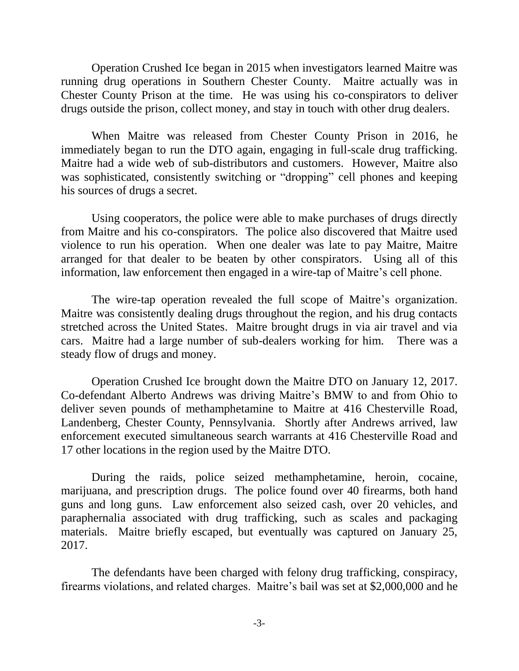Operation Crushed Ice began in 2015 when investigators learned Maitre was running drug operations in Southern Chester County. Maitre actually was in Chester County Prison at the time. He was using his co-conspirators to deliver drugs outside the prison, collect money, and stay in touch with other drug dealers.

When Maitre was released from Chester County Prison in 2016, he immediately began to run the DTO again, engaging in full-scale drug trafficking. Maitre had a wide web of sub-distributors and customers. However, Maitre also was sophisticated, consistently switching or "dropping" cell phones and keeping his sources of drugs a secret.

Using cooperators, the police were able to make purchases of drugs directly from Maitre and his co-conspirators. The police also discovered that Maitre used violence to run his operation. When one dealer was late to pay Maitre, Maitre arranged for that dealer to be beaten by other conspirators. Using all of this information, law enforcement then engaged in a wire-tap of Maitre's cell phone.

The wire-tap operation revealed the full scope of Maitre's organization. Maitre was consistently dealing drugs throughout the region, and his drug contacts stretched across the United States. Maitre brought drugs in via air travel and via cars. Maitre had a large number of sub-dealers working for him. There was a steady flow of drugs and money.

Operation Crushed Ice brought down the Maitre DTO on January 12, 2017. Co-defendant Alberto Andrews was driving Maitre's BMW to and from Ohio to deliver seven pounds of methamphetamine to Maitre at 416 Chesterville Road, Landenberg, Chester County, Pennsylvania. Shortly after Andrews arrived, law enforcement executed simultaneous search warrants at 416 Chesterville Road and 17 other locations in the region used by the Maitre DTO.

During the raids, police seized methamphetamine, heroin, cocaine, marijuana, and prescription drugs. The police found over 40 firearms, both hand guns and long guns. Law enforcement also seized cash, over 20 vehicles, and paraphernalia associated with drug trafficking, such as scales and packaging materials. Maitre briefly escaped, but eventually was captured on January 25, 2017.

The defendants have been charged with felony drug trafficking, conspiracy, firearms violations, and related charges. Maitre's bail was set at \$2,000,000 and he